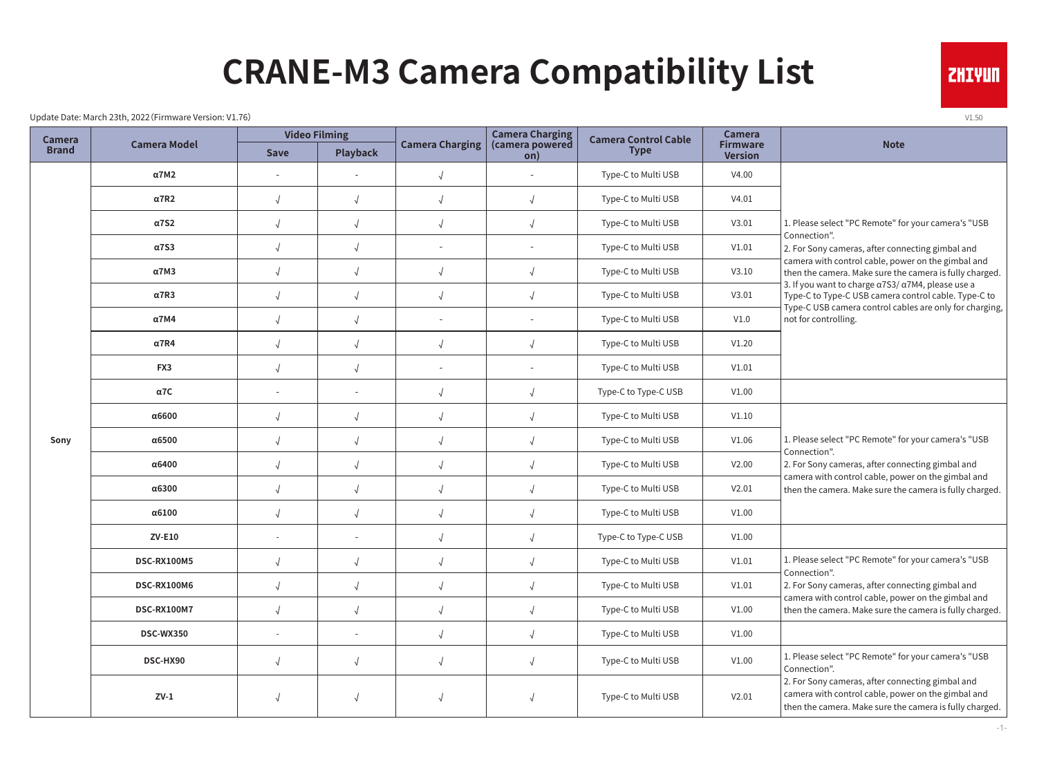# **CRANE-M3 Camera Compatibility List**

Update Date: March 23th, 2022 (Firmware Version: V1.76) v1.50

| <b>Camera</b> |                     |                          | <b>Video Filming</b> |                        | <b>Camera Charging</b>   | <b>Camera Control Cable</b> | <b>Camera</b>                     |                                                                                                                                                                      |
|---------------|---------------------|--------------------------|----------------------|------------------------|--------------------------|-----------------------------|-----------------------------------|----------------------------------------------------------------------------------------------------------------------------------------------------------------------|
| <b>Brand</b>  | <b>Camera Model</b> | <b>Save</b>              | Playback             | <b>Camera Charging</b> | (camera powered<br>on)   | <b>Type</b>                 | <b>Firmware</b><br><b>Version</b> | <b>Note</b>                                                                                                                                                          |
|               | <b>α7M2</b>         |                          |                      | $\sqrt{2}$             |                          | Type-C to Multi USB         | V4.00                             |                                                                                                                                                                      |
|               | $\alpha$ 7R2        | $\sqrt{2}$               | $\sqrt{ }$           | $\sqrt{2}$             | $\sqrt{ }$               | Type-C to Multi USB         | V4.01                             |                                                                                                                                                                      |
|               | $\alpha$ 7S2        | $\sqrt{2}$               |                      | $\sqrt{2}$             | $\sqrt{2}$               | Type-C to Multi USB         | V3.01                             | 1. Please select "PC Remote" for your camera's "USB                                                                                                                  |
|               | $\alpha$ 7S3        |                          |                      |                        | $\overline{\phantom{a}}$ | Type-C to Multi USB         | V1.01                             | Connection".<br>2. For Sony cameras, after connecting gimbal and                                                                                                     |
|               | $\alpha$ 7M3        | $\sqrt{ }$               |                      | $\sqrt{2}$             | $\sqrt{2}$               | Type-C to Multi USB         | V3.10                             | camera with control cable, power on the gimbal and<br>then the camera. Make sure the camera is fully charged.                                                        |
|               | $\alpha$ 7R3        | $\sqrt{2}$               |                      | $\sqrt{ }$             | $\sqrt{2}$               | Type-C to Multi USB         | V3.01                             | 3. If you want to charge a7S3/ a7M4, please use a<br>Type-C to Type-C USB camera control cable. Type-C to<br>Type-C USB camera control cables are only for charging, |
|               | $\alpha$ 7M4        | $\sqrt{2}$               | $\sqrt{ }$           |                        | $\overline{\phantom{a}}$ | Type-C to Multi USB         | V1.0                              | not for controlling.                                                                                                                                                 |
|               | $\alpha$ 7R4        | $\sqrt{2}$               | $\sqrt{ }$           | $\sqrt{ }$             | $\sqrt{ }$               | Type-C to Multi USB         | V1.20                             |                                                                                                                                                                      |
|               | FX3                 | $\sqrt{2}$               |                      |                        | $\sim$                   | Type-C to Multi USB         | V1.01                             |                                                                                                                                                                      |
|               | α7C                 | $\sim$                   |                      | $\sqrt{ }$             | $\sqrt{2}$               | Type-C to Type-C USB        | V1.00                             |                                                                                                                                                                      |
|               | α6600               | $\sqrt{2}$               | $\sqrt{ }$           | $\sqrt{ }$             | $\sqrt{2}$               | Type-C to Multi USB         | V1.10                             |                                                                                                                                                                      |
| Sony          | $\alpha$ 6500       | $\sqrt{2}$               | $\sqrt{ }$           | $\sqrt{2}$             | $\sqrt{2}$               | Type-C to Multi USB         | V1.06                             | 1. Please select "PC Remote" for your camera's "USB<br>Connection".                                                                                                  |
|               | α6400               | $\sqrt{2}$               | $\sqrt{2}$           | $\sqrt{ }$             | $\sqrt{ }$               | Type-C to Multi USB         | V2.00                             | 2. For Sony cameras, after connecting gimbal and<br>camera with control cable, power on the gimbal and                                                               |
|               | α6300               | $\sqrt{2}$               |                      | $\sqrt{ }$             | $\sqrt{2}$               | Type-C to Multi USB         | V2.01                             | then the camera. Make sure the camera is fully charged.                                                                                                              |
|               | $\alpha$ 6100       | $\sqrt{2}$               | $\sqrt{ }$           | $\sqrt{ }$             | $\sqrt{2}$               | Type-C to Multi USB         | V1.00                             |                                                                                                                                                                      |
|               | <b>ZV-E10</b>       | $\overline{\phantom{a}}$ |                      | $\sqrt{2}$             | $\sqrt{2}$               | Type-C to Type-C USB        | V1.00                             |                                                                                                                                                                      |
|               | <b>DSC-RX100M5</b>  | $\sqrt{2}$               |                      | $\sqrt{2}$             | $\sqrt{2}$               | Type-C to Multi USB         | V1.01                             | 1. Please select "PC Remote" for your camera's "USB<br>Connection".                                                                                                  |
|               | DSC-RX100M6         |                          |                      |                        | $\sqrt{2}$               | Type-C to Multi USB         | V1.01                             | 2. For Sony cameras, after connecting gimbal and<br>camera with control cable, power on the gimbal and                                                               |
|               | DSC-RX100M7         | $\sqrt{ }$               | $\sqrt{ }$           | $\sqrt{ }$             | $\sqrt{ }$               | Type-C to Multi USB         | V1.00                             | then the camera. Make sure the camera is fully charged.                                                                                                              |
|               | DSC-WX350           | $\overline{\phantom{a}}$ |                      | $\sqrt{2}$             | $\sqrt{2}$               | Type-C to Multi USB         | V1.00                             |                                                                                                                                                                      |
|               | DSC-HX90            | $\sqrt{2}$               |                      | $\sqrt{2}$             | $\sqrt{ }$               | Type-C to Multi USB         | V1.00                             | 1. Please select "PC Remote" for your camera's "USB<br>Connection".                                                                                                  |
|               | $ZV-1$              |                          |                      | $\sqrt{2}$             | $\sqrt{2}$               | Type-C to Multi USB         | V2.01                             | 2. For Sony cameras, after connecting gimbal and<br>camera with control cable, power on the gimbal and<br>then the camera. Make sure the camera is fully charged.    |

**ZHIYUN** 

-1-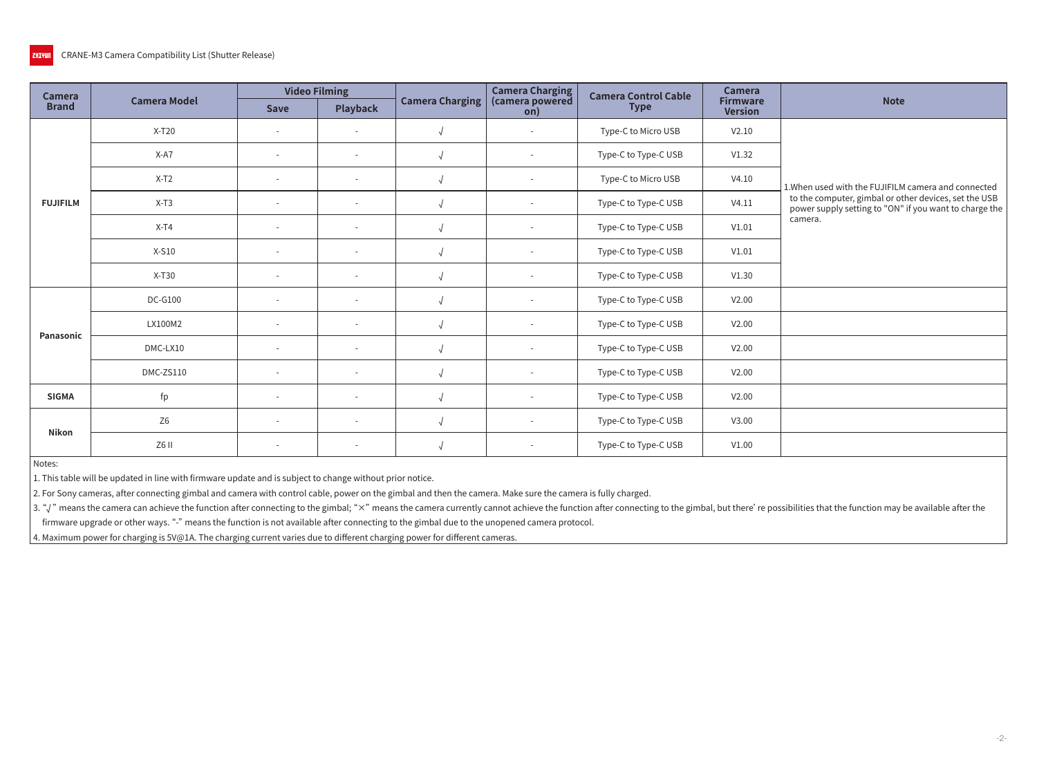| <b>Camera</b>   |                     | <b>Video Filming</b>     |                          |                        | <b>Camera Charging</b>   | <b>Camera Control Cable</b> | <b>Camera</b>                     |                                                                                                                 |
|-----------------|---------------------|--------------------------|--------------------------|------------------------|--------------------------|-----------------------------|-----------------------------------|-----------------------------------------------------------------------------------------------------------------|
| <b>Brand</b>    | <b>Camera Model</b> | <b>Save</b>              | <b>Playback</b>          | <b>Camera Charging</b> | (camera powered<br>on)   | <b>Type</b>                 | <b>Firmware</b><br><b>Version</b> | <b>Note</b>                                                                                                     |
|                 | $X-T20$             |                          |                          |                        |                          | Type-C to Micro USB         | V2.10                             |                                                                                                                 |
|                 | X-A7                | $\sim$                   | $\sim$                   |                        | $\overline{\phantom{a}}$ | Type-C to Type-C USB        | V1.32                             |                                                                                                                 |
|                 | $X-T2$              |                          | $\sim$                   |                        | $\sim$                   | Type-C to Micro USB         | V4.10                             | 1. When used with the FUJIFILM camera and connected                                                             |
| <b>FUJIFILM</b> | $X-T3$              | $\sim$                   | $\sim$                   | <sup>1</sup>           | $\sim$                   | Type-C to Type-C USB        | V4.11                             | to the computer, gimbal or other devices, set the USB<br>power supply setting to "ON" if you want to charge the |
|                 | $X-T4$              |                          | $\overline{\phantom{a}}$ |                        | $\overline{\phantom{a}}$ | Type-C to Type-C USB        | V1.01                             | camera.                                                                                                         |
|                 | $X-S10$             | $\sim$                   | $\sim$                   |                        | $\sim$                   | Type-C to Type-C USB        | V1.01                             |                                                                                                                 |
|                 | $X-T30$             | $\sim$                   | $\sim$                   |                        | $\sim$                   | Type-C to Type-C USB        | V1.30                             |                                                                                                                 |
|                 | <b>DC-G100</b>      |                          | $\sim$                   |                        | $\sim$                   | Type-C to Type-C USB        | V2.00                             |                                                                                                                 |
| Panasonic       | LX100M2             | $\sim$                   | $\sim$                   |                        | $\overline{\phantom{a}}$ | Type-C to Type-C USB        | V2.00                             |                                                                                                                 |
|                 | DMC-LX10            | $\overline{\phantom{a}}$ | $\sim$                   |                        | $\sim$                   | Type-C to Type-C USB        | V2.00                             |                                                                                                                 |
|                 | DMC-ZS110           | $\overline{a}$           | $\sim$                   | $\sqrt{ }$             | $\sim$                   | Type-C to Type-C USB        | V2.00                             |                                                                                                                 |
| <b>SIGMA</b>    | fp                  | $\sim$                   | $\sim$                   | <sup>1</sup>           | $\overline{\phantom{a}}$ | Type-C to Type-C USB        | V2.00                             |                                                                                                                 |
|                 | Z <sub>6</sub>      | $\overline{\phantom{a}}$ | $\sim$                   |                        | $\sim$                   | Type-C to Type-C USB        | V3.00                             |                                                                                                                 |
| Nikon           | Z6 II               | $\sim$                   | $\sim$                   |                        | $\sim$                   | Type-C to Type-C USB        | V1.00                             |                                                                                                                 |

Notes:

1. This table will be updated in line with firmware update and is subject to change without prior notice.

2. For Sony cameras, after connecting gimbal and camera with control cable, power on the gimbal and then the camera. Make sure the camera is fully charged.

 $|$  3. " $\sqrt$  " means the camera can achieve the function after connecting to the gimbal; " $\times$  " means the camera currently cannot achieve the function after connecting to the gimbal, but there' re possibilities that the

firmware upgrade or other ways. "-" means the function is not available after connecting to the gimbal due to the unopened camera protocol.

 $\vert$  4. Maximum power for charging is 5V@1A. The charging current varies due to different charging power for different cameras.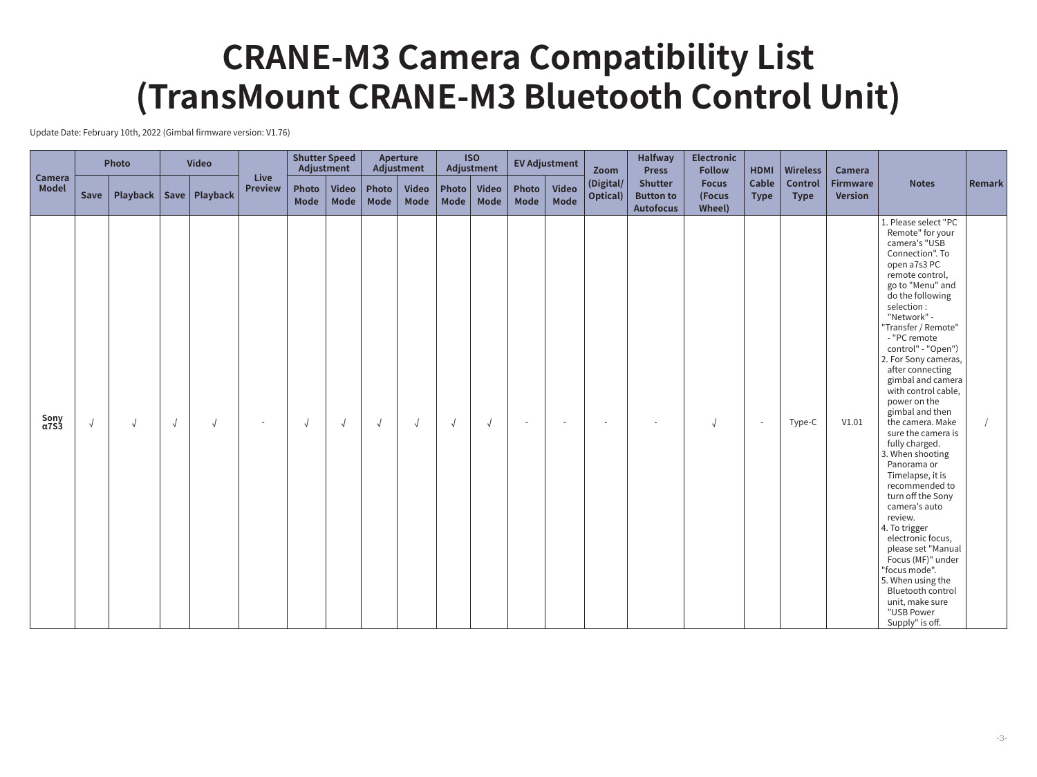Update Date: February 10th, 2022 (Gimbal firmware version: V1.76)

|                        |            | Photo    |            | <b>Video</b>      |                               | <b>Shutter Speed</b><br>Adjustment |                      |                      | Aperture<br>Adjustment |               | <b>ISO</b><br>Adjustment    |                      | <b>EV Adjustment</b>     | Zoom                  | <b>Halfway</b><br><b>Press</b>                         | <b>Electronic</b><br><b>Follow</b> | <b>HDMI</b>          | <b>Wireless</b>        | Camera                            |                                                                                                                                                                                                                                                                                                                                                                                                                                                                                                                                                                                                                                                                                                                                                                           |        |
|------------------------|------------|----------|------------|-------------------|-------------------------------|------------------------------------|----------------------|----------------------|------------------------|---------------|-----------------------------|----------------------|--------------------------|-----------------------|--------------------------------------------------------|------------------------------------|----------------------|------------------------|-----------------------------------|---------------------------------------------------------------------------------------------------------------------------------------------------------------------------------------------------------------------------------------------------------------------------------------------------------------------------------------------------------------------------------------------------------------------------------------------------------------------------------------------------------------------------------------------------------------------------------------------------------------------------------------------------------------------------------------------------------------------------------------------------------------------------|--------|
| Camera<br><b>Model</b> | Save       | Playback |            | Save   $Playback$ | <b>Live</b><br><b>Preview</b> | Photo<br><b>Mode</b>               | <b>Video</b><br>Mode | Photo<br><b>Mode</b> | <b>Video</b><br>Mode   | Photo<br>Mode | <b>Video</b><br><b>Mode</b> | Photo<br><b>Mode</b> | <b>Video</b><br>Mode     | (Digital/<br>Optical) | <b>Shutter</b><br><b>Button to</b><br><b>Autofocus</b> | <b>Focus</b><br>(Focus<br>Wheel)   | Cable<br><b>Type</b> | Control<br><b>Type</b> | <b>Firmware</b><br><b>Version</b> | <b>Notes</b>                                                                                                                                                                                                                                                                                                                                                                                                                                                                                                                                                                                                                                                                                                                                                              | Remark |
| Sony<br>α7S3           | $\sqrt{ }$ |          | $\sqrt{ }$ | $\sqrt{ }$        |                               | $\sqrt{ }$                         | $\sqrt{ }$           | $\sqrt{ }$           | $\sqrt{ }$             | $\sqrt{ }$    | $\sqrt{ }$                  | $\sim$               | $\overline{\phantom{a}}$ | $\sim$                | $\sim$                                                 | $\sqrt{ }$                         | $\sim$               | Type-C                 | V1.01                             | 1. Please select "PC<br>Remote" for your<br>camera's "USB<br>Connection". To<br>open a7s3 PC<br>remote control,<br>go to "Menu" and<br>do the following<br>selection:<br>"Network" -<br>"Transfer / Remote"<br>- "PC remote<br>control" - "Open")<br>2. For Sony cameras,<br>after connecting<br>gimbal and camera<br>with control cable,<br>power on the<br>gimbal and then<br>the camera. Make<br>sure the camera is<br>fully charged.<br>3. When shooting<br>Panorama or<br>Timelapse, it is<br>recommended to<br>turn off the Sony<br>camera's auto<br>review.<br>4. To trigger<br>electronic focus,<br>please set "Manual<br>Focus (MF)" under<br>"focus mode".<br>5. When using the<br><b>Bluetooth control</b><br>unit, make sure<br>"USB Power<br>Supply" is off. |        |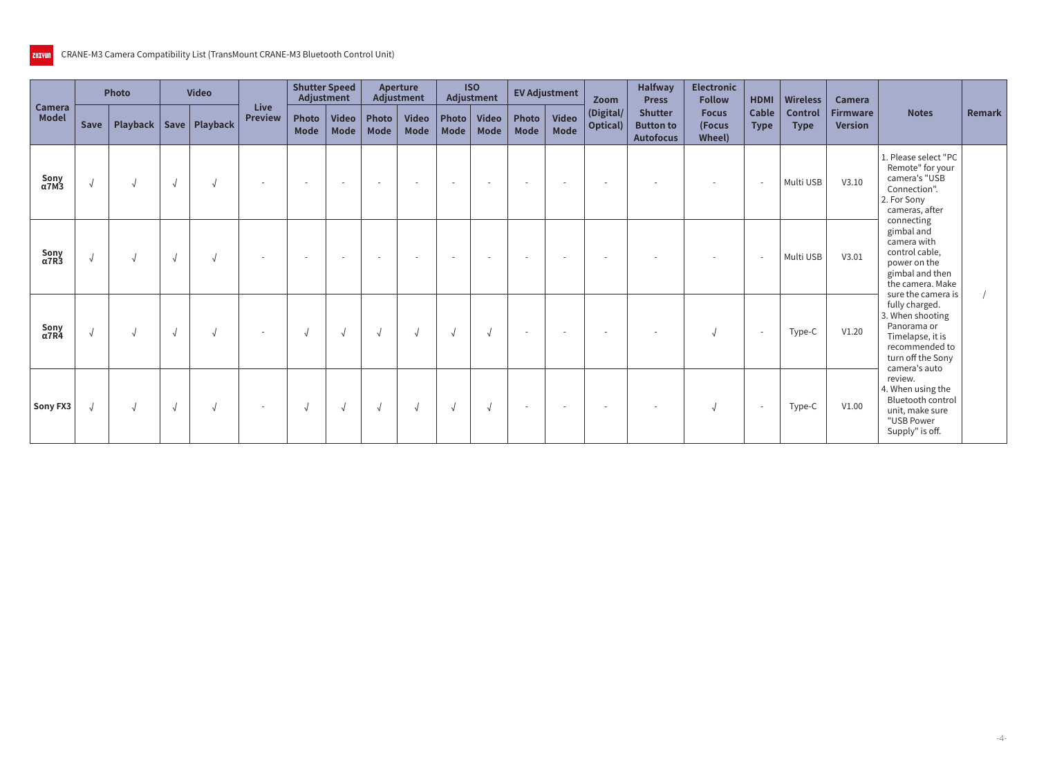|                        |             | <b>Photo</b> |            | <b>Video</b>               |                               | <b>Shutter Speed</b><br>Adjustment |                      |                          | <b>Aperture</b><br>Adjustment |                    | <b>ISO</b><br>Adjustment    |                          | <b>EV Adjustment</b>        | Zoom                          | <b>Halfway</b><br><b>Press</b>                         | <b>Electronic</b><br><b>Follow</b> | <b>HDMI</b>                 | <b>Wireless</b>               | <b>Camera</b>                     |                                                                                                                                        |        |
|------------------------|-------------|--------------|------------|----------------------------|-------------------------------|------------------------------------|----------------------|--------------------------|-------------------------------|--------------------|-----------------------------|--------------------------|-----------------------------|-------------------------------|--------------------------------------------------------|------------------------------------|-----------------------------|-------------------------------|-----------------------------------|----------------------------------------------------------------------------------------------------------------------------------------|--------|
| Camera<br><b>Model</b> | <b>Save</b> |              |            | Playback   Save   Playback | <b>Live</b><br><b>Preview</b> | Photo<br>Mode                      | <b>Video</b><br>Mode | Photo<br>Mode            | <b>Video</b><br>Mode          | Photo $ $<br>Model | <b>Video</b><br><b>Mode</b> | Photo<br><b>Mode</b>     | <b>Video</b><br><b>Mode</b> | (Digital/<br><b>Optical</b> ) | <b>Shutter</b><br><b>Button to</b><br><b>Autofocus</b> | <b>Focus</b><br>(Focus<br>Wheel)   | <b>Cable</b><br><b>Type</b> | <b>Control</b><br><b>Type</b> | <b>Firmware</b><br><b>Version</b> | <b>Notes</b>                                                                                                                           | Remark |
| Sony<br>$\alpha$ 7M3   | $\sqrt{ }$  |              | $\sqrt{2}$ |                            | $\overline{\phantom{a}}$      | $\sim$                             | $\sim$               | $\overline{\phantom{a}}$ | $\overline{\phantom{a}}$      | $\sim$             | $\sim$                      | $\overline{\phantom{a}}$ | $\overline{a}$              | $\sim$                        |                                                        |                                    | $\overline{\phantom{a}}$    | Multi USB                     | V3.10                             | 1. Please select "PC<br>Remote" for your<br>camera's "USB<br>Connection".<br>2. For Sony<br>cameras, after                             |        |
| Sony<br>$\alpha$ 7R3   | $\sqrt{ }$  |              | √          | $\sqrt{ }$                 | $\overline{\phantom{a}}$      | $\sim$                             | $\sim$               | $\overline{\phantom{a}}$ | <b>.</b>                      | $\sim$             | $\overline{\phantom{a}}$    | $\sim$                   | $\sim$                      | $\overline{\phantom{a}}$      |                                                        | $\overline{\phantom{a}}$           | $\overline{\phantom{a}}$    | Multi USB                     | V3.01                             | connecting<br>gimbal and<br>camera with<br>control cable,<br>power on the<br>gimbal and then<br>the camera. Make<br>sure the camera is |        |
| Sony<br>α7R4           | $\sqrt{ }$  |              |            |                            |                               | $\sqrt{ }$                         | $\sqrt{ }$           | $\sqrt{ }$               |                               | $\sqrt{ }$         |                             |                          | . .                         | $\sim$                        |                                                        | $\sqrt{ }$                         | $\overline{\phantom{a}}$    | Type-C                        | V1.20                             | fully charged.<br>3. When shooting<br>Panorama or<br>Timelapse, it is<br>recommended to<br>turn off the Sony                           |        |
| Sony FX3               | $\sqrt{ }$  |              | $\sqrt{ }$ |                            | $\overline{\phantom{a}}$      | $\sqrt{ }$                         | $\sqrt{ }$           | √                        |                               | √                  |                             | $\sim$                   | $\sim$                      | $\overline{\phantom{a}}$      |                                                        | N                                  | $\overline{\phantom{a}}$    | Type-C                        | V1.00                             | camera's auto<br>review.<br>4. When using the<br>Bluetooth control<br>unit, make sure<br>"USB Power<br>Supply" is off.                 |        |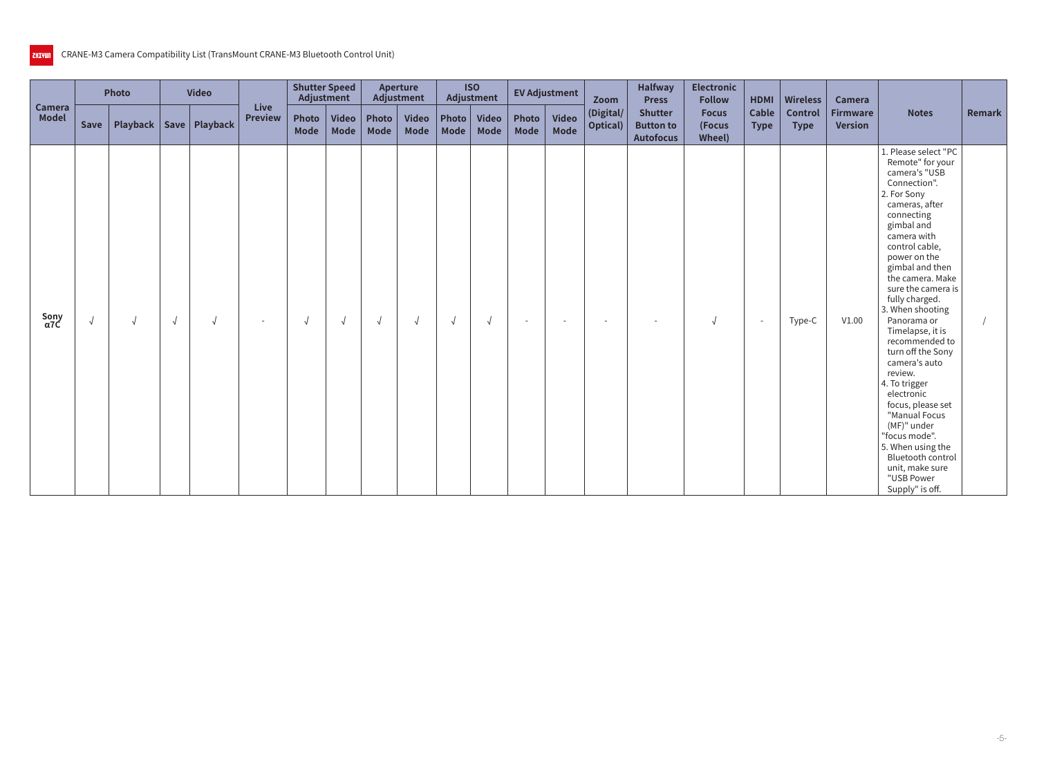|                        |            | Photo |            | <b>Video</b>               |                               | <b>Shutter Speed</b><br>Adjustment |               |               | Aperture<br>Adjustment      |             | <b>ISO</b><br>Adjustment   |               | <b>EV Adjustment</b> | Zoom                     | <b>Halfway</b><br><b>Press</b>                         | <b>Electronic</b><br><b>Follow</b> | <b>HDMI</b>              | <b>Wireless</b>               | Camera                            |                                                                                                                                                                                                                                                                                                                                                                                                                                                                                                                                                                                                     |        |
|------------------------|------------|-------|------------|----------------------------|-------------------------------|------------------------------------|---------------|---------------|-----------------------------|-------------|----------------------------|---------------|----------------------|--------------------------|--------------------------------------------------------|------------------------------------|--------------------------|-------------------------------|-----------------------------------|-----------------------------------------------------------------------------------------------------------------------------------------------------------------------------------------------------------------------------------------------------------------------------------------------------------------------------------------------------------------------------------------------------------------------------------------------------------------------------------------------------------------------------------------------------------------------------------------------------|--------|
| Camera<br><b>Model</b> | Save       |       |            | Playback   Save   Playback | <b>Live</b><br><b>Preview</b> | Photo<br><b>Mode</b>               | Video<br>Mode | Photo<br>Mode | <b>Video</b><br><b>Mode</b> | <b>Mode</b> | Photo Video<br><b>Mode</b> | Photo<br>Mode | Video<br>Mode        | (Digital/<br>Optical)    | <b>Shutter</b><br><b>Button to</b><br><b>Autofocus</b> | <b>Focus</b><br>(Focus<br>Wheel)   | Cable<br><b>Type</b>     | <b>Control</b><br><b>Type</b> | <b>Firmware</b><br><b>Version</b> | <b>Notes</b>                                                                                                                                                                                                                                                                                                                                                                                                                                                                                                                                                                                        | Remark |
| Sony<br>α7C            | $\sqrt{ }$ |       | $\sqrt{ }$ |                            |                               |                                    | $\sqrt{ }$    | $\sqrt{ }$    | $\sqrt{2}$                  | $\sqrt{ }$  |                            | $\sim$        | $\overline{a}$       | $\overline{\phantom{a}}$ | $\sim$                                                 | $\sqrt{2}$                         | $\overline{\phantom{a}}$ | Type-C                        | V1.00                             | 1. Please select "PC<br>Remote" for your<br>camera's "USB<br>Connection".<br>2. For Sony<br>cameras, after<br>connecting<br>gimbal and<br>camera with<br>control cable,<br>power on the<br>gimbal and then<br>the camera. Make<br>sure the camera is<br>fully charged.<br>3. When shooting<br>Panorama or<br>Timelapse, it is<br>recommended to<br>turn off the Sony<br>camera's auto<br>review.<br>4. To trigger<br>electronic<br>focus, please set<br>"Manual Focus<br>(MF)" under<br>"focus mode".<br>5. When using the<br>Bluetooth control<br>unit, make sure<br>"USB Power<br>Supply" is off. |        |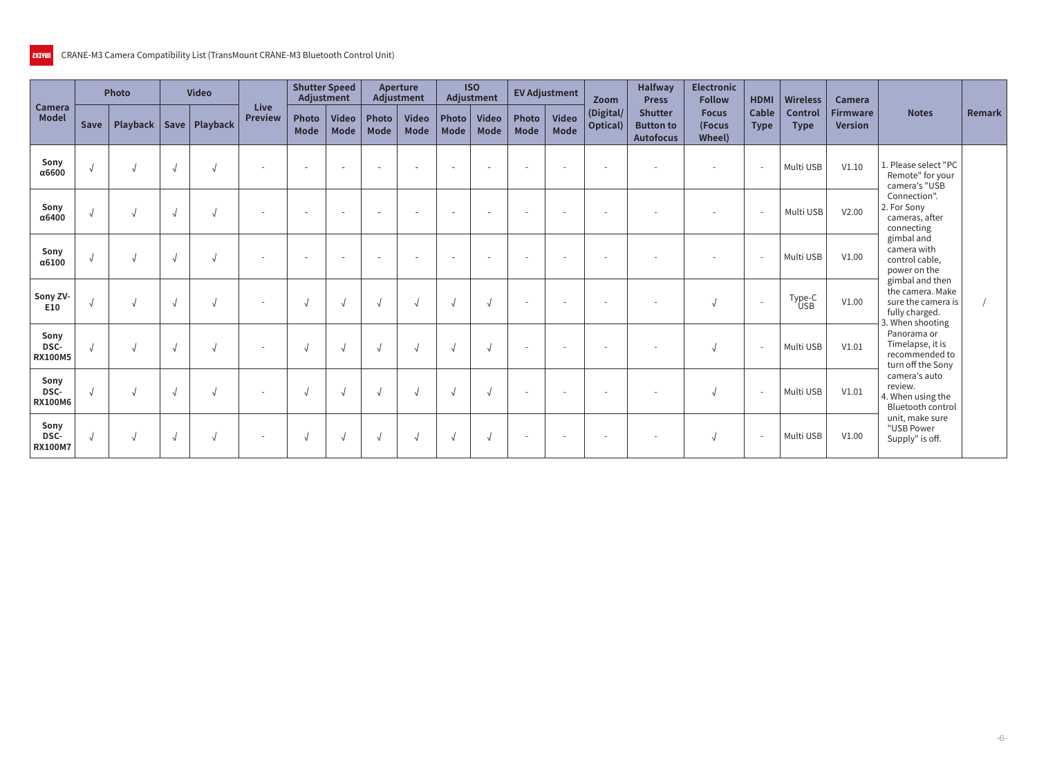|                                |             | <b>Photo</b> | <b>Video</b>    |                          | <b>Shutter Speed</b><br>Adjustment |                             |                          | <b>Aperture</b><br><b>Adjustment</b> |                          | <b>ISO</b><br>Adjustment    |                          | <b>EV Adjustment</b>        | Zoom                  | <b>Halfway</b><br><b>Press</b>                         | <b>Electronic</b><br><b>Follow</b>       | <b>HDMI</b>          | <b>Wireless</b>               | <b>Camera</b>                     |                                                                                            |        |
|--------------------------------|-------------|--------------|-----------------|--------------------------|------------------------------------|-----------------------------|--------------------------|--------------------------------------|--------------------------|-----------------------------|--------------------------|-----------------------------|-----------------------|--------------------------------------------------------|------------------------------------------|----------------------|-------------------------------|-----------------------------------|--------------------------------------------------------------------------------------------|--------|
| <b>Camera</b><br><b>Model</b>  | <b>Save</b> | Playback     | Save   Playback | Live<br><b>Preview</b>   | <b>Photo</b><br><b>Mode</b>        | <b>Video</b><br><b>Mode</b> | Photo<br><b>Mode</b>     | <b>Video</b><br><b>Mode</b>          | Photo $ $<br><b>Mode</b> | <b>Video</b><br><b>Mode</b> | Photo<br><b>Mode</b>     | <b>Video</b><br><b>Mode</b> | (Digital/<br>Optical) | <b>Shutter</b><br><b>Button to</b><br><b>Autofocus</b> | <b>Focus</b><br>(Focus<br><b>Wheel</b> ) | Cable<br><b>Type</b> | <b>Control</b><br><b>Type</b> | <b>Firmware</b><br><b>Version</b> | <b>Notes</b>                                                                               | Remark |
| Sony<br>α6600                  | $\sqrt{ }$  |              |                 |                          | $\overline{\phantom{a}}$           | $\overline{\phantom{a}}$    | $\overline{\phantom{a}}$ |                                      | $\sim$                   |                             | ٠                        |                             |                       |                                                        |                                          |                      | Multi USB                     | V1.10                             | 1. Please select "PC<br>Remote" for your<br>camera's "USB                                  |        |
| Sony<br>α6400                  | $\sqrt{ }$  |              |                 | $\overline{\phantom{a}}$ | $\overline{\phantom{a}}$           | $\sim$                      | $\overline{\phantom{a}}$ |                                      | $\sim$                   | $\sim$                      | $\overline{\phantom{a}}$ | $\overline{\phantom{a}}$    | $\sim$                |                                                        | $\overline{\phantom{a}}$                 |                      | Multi USB                     | V2.00                             | Connection".<br>2. For Sony<br>cameras, after<br>connecting                                |        |
| Sony<br>$\alpha$ 6100          | $\sqrt{ }$  |              |                 |                          |                                    |                             |                          |                                      |                          |                             | $\overline{\phantom{a}}$ |                             |                       |                                                        |                                          |                      | Multi USB                     | V1.00                             | gimbal and<br>camera with<br>control cable,<br>power on the                                |        |
| Sony ZV-<br>E10                | $\sqrt{ }$  |              |                 |                          |                                    |                             | $\sqrt{ }$               |                                      |                          |                             | ٠                        |                             |                       |                                                        | $\sqrt{ }$                               |                      | Type-C<br><b>USB</b>          | V1.00                             | gimbal and then<br>the camera. Make<br>sure the camera is<br>fully charged.                |        |
| Sony<br>DSC-<br><b>RX100M5</b> | $\sqrt{ }$  |              |                 | $\overline{\phantom{a}}$ |                                    |                             |                          |                                      |                          |                             | $\overline{\phantom{a}}$ | $\overline{\phantom{a}}$    | $\sim$                |                                                        | N                                        |                      | Multi USB                     | V1.01                             | 3. When shooting<br>Panorama or<br>Timelapse, it is<br>recommended to<br>turn off the Sony |        |
| Sony<br>DSC-<br><b>RX100M6</b> | $\sqrt{ }$  |              |                 | $\sim$                   |                                    |                             |                          |                                      |                          |                             | $\overline{\phantom{a}}$ | $\overline{\phantom{a}}$    | $\sim$                |                                                        | $\sqrt{ }$                               |                      | Multi USB                     | V1.01                             | camera's auto<br>review.<br>4. When using the<br><b>Bluetooth control</b>                  |        |
| Sony<br>DSC-<br><b>RX100M7</b> | $\sqrt{ }$  |              |                 | $\overline{a}$           |                                    | $\sqrt{ }$                  |                          |                                      |                          |                             | $\overline{\phantom{a}}$ |                             |                       |                                                        | √                                        |                      | Multi USB                     | V1.00                             | unit, make sure<br>"USB Power<br>Supply" is off.                                           |        |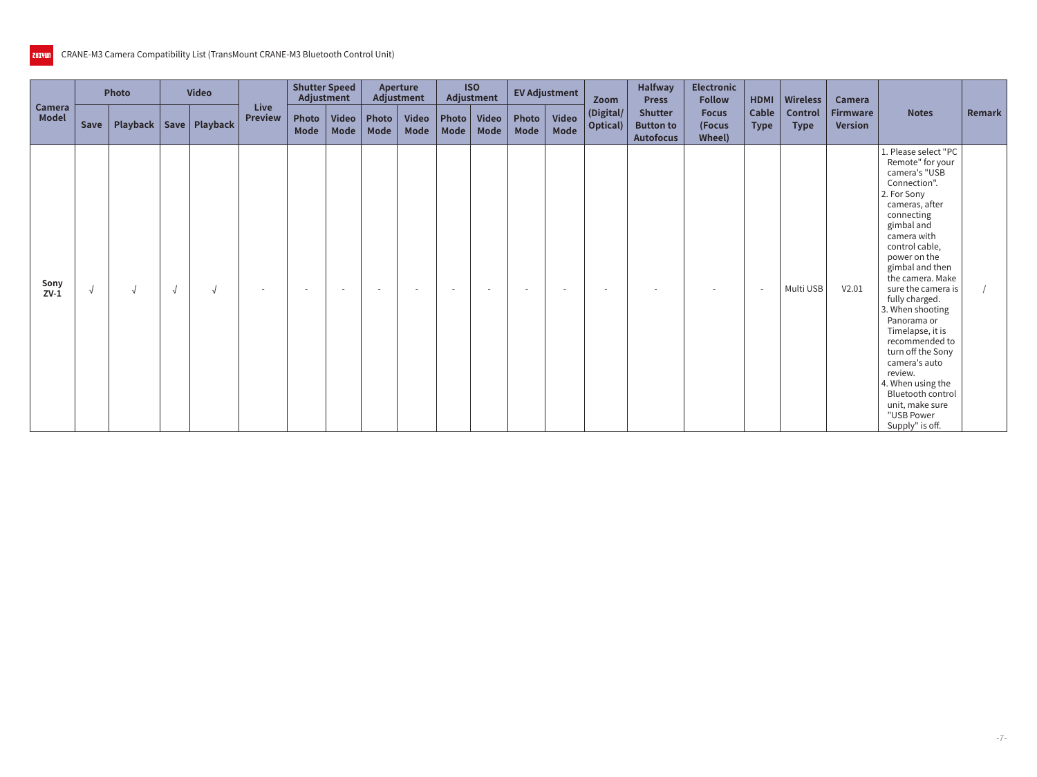|                        |            | <b>Photo</b> |            | <b>Video</b>               |                               | <b>Shutter Speed</b><br>Adjustment |                      |                          | Aperture<br>Adjustment   |        | <b>ISO</b><br>Adjustment |                          | <b>EV Adjustment</b>     | Zoom                          | <b>Halfway</b><br><b>Press</b>                         | <b>Electronic</b><br><b>Follow</b> | HDMI                 | <b>Wireless</b>        | <b>Camera</b>                     |                                                                                                                                                                                                                                                                                                                                                                                                                                                                                                       |        |
|------------------------|------------|--------------|------------|----------------------------|-------------------------------|------------------------------------|----------------------|--------------------------|--------------------------|--------|--------------------------|--------------------------|--------------------------|-------------------------------|--------------------------------------------------------|------------------------------------|----------------------|------------------------|-----------------------------------|-------------------------------------------------------------------------------------------------------------------------------------------------------------------------------------------------------------------------------------------------------------------------------------------------------------------------------------------------------------------------------------------------------------------------------------------------------------------------------------------------------|--------|
| Camera<br><b>Model</b> | Save       |              |            | Playback   Save   Playback | <b>Live</b><br><b>Preview</b> | Photo<br><b>Mode</b>               | <b>Video</b><br>Mode | Photo<br>Mode            | Video<br>Mode            | Mode   | Photo   Video<br>Mode    | Photo<br>Mode            | <b>Video</b><br>Mode     | (Digital/<br><b>Optical</b> ) | <b>Shutter</b><br><b>Button to</b><br><b>Autofocus</b> | <b>Focus</b><br>(Focus<br>Wheel)   | Cable<br><b>Type</b> | Control<br><b>Type</b> | <b>Firmware</b><br><b>Version</b> | <b>Notes</b>                                                                                                                                                                                                                                                                                                                                                                                                                                                                                          | Remark |
| Sony<br>$ZV-1$         | $\sqrt{2}$ |              | $\sqrt{ }$ |                            | $\overline{\phantom{0}}$      | $\overline{\phantom{0}}$           | $\sim$               | $\overline{\phantom{a}}$ | $\overline{\phantom{a}}$ | $\sim$ | <b>.</b>                 | $\overline{\phantom{a}}$ | $\overline{\phantom{a}}$ | $\overline{\phantom{a}}$      |                                                        |                                    |                      | Multi USB              | V2.01                             | 1. Please select "PC<br>Remote" for your<br>camera's "USB<br>Connection".<br>2. For Sony<br>cameras, after<br>connecting<br>gimbal and<br>camera with<br>control cable,<br>power on the<br>gimbal and then<br>the camera. Make<br>sure the camera is<br>fully charged.<br>3. When shooting<br>Panorama or<br>Timelapse, it is<br>recommended to<br>turn off the Sony<br>camera's auto<br>review.<br>4. When using the<br><b>Bluetooth control</b><br>unit, make sure<br>"USB Power<br>Supply" is off. |        |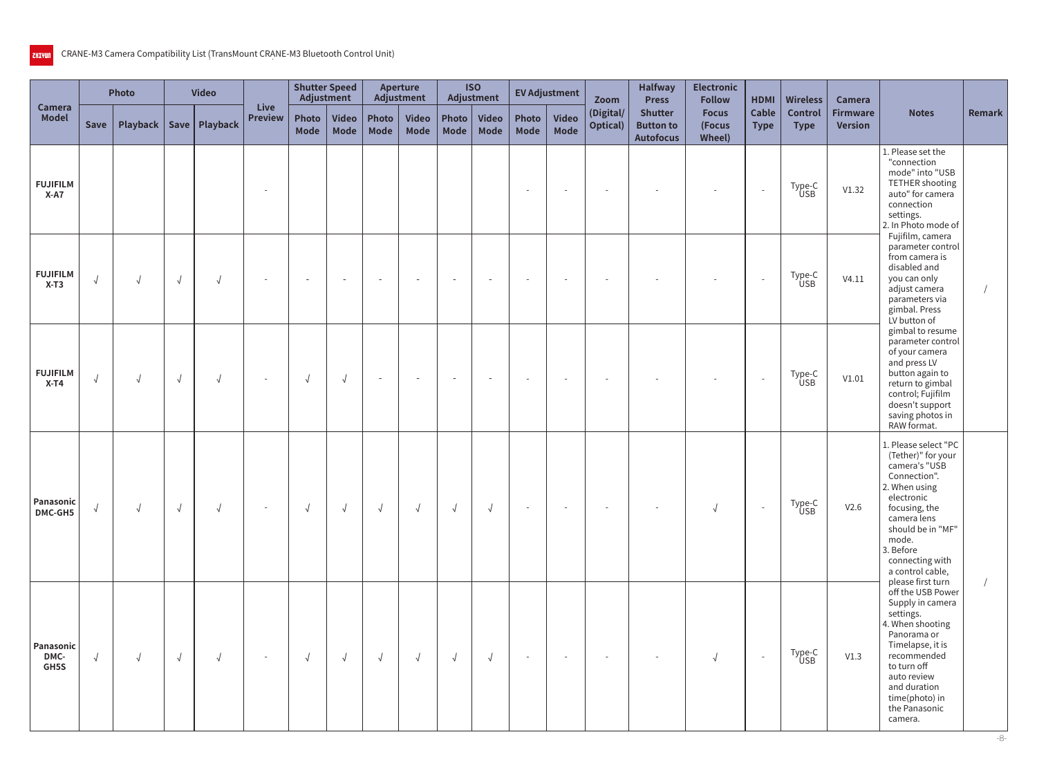|                           |            | Photo      |            | <b>Video</b>    |                               | <b>Shutter Speed</b><br>Adjustment |                             |                          | <b>Aperture</b><br>Adjustment |               | <b>ISO</b><br>Adjustment |                          | <b>EV Adjustment</b>     | Zoom                     | <b>Halfway</b><br><b>Press</b>                         | <b>Electronic</b><br><b>Follow</b> | <b>HDMI</b>                 | <b>Wireless</b>               | Camera                            |                                                                                                                                                                                                                                                   |               |
|---------------------------|------------|------------|------------|-----------------|-------------------------------|------------------------------------|-----------------------------|--------------------------|-------------------------------|---------------|--------------------------|--------------------------|--------------------------|--------------------------|--------------------------------------------------------|------------------------------------|-----------------------------|-------------------------------|-----------------------------------|---------------------------------------------------------------------------------------------------------------------------------------------------------------------------------------------------------------------------------------------------|---------------|
| Camera<br><b>Model</b>    | Save       | Playback   |            | Save   Playback | <b>Live</b><br><b>Preview</b> | Photo<br><b>Mode</b>               | <b>Video</b><br><b>Mode</b> | Photo<br><b>Mode</b>     | <b>Video</b><br><b>Mode</b>   | Photo<br>Mode | <b>Video</b><br>Mode     | Photo<br><b>Mode</b>     | <b>Video</b><br>Mode     | (Digital/<br>Optical)    | <b>Shutter</b><br><b>Button to</b><br><b>Autofocus</b> | <b>Focus</b><br>(Focus<br>Wheel)   | <b>Cable</b><br><b>Type</b> | <b>Control</b><br><b>Type</b> | <b>Firmware</b><br><b>Version</b> | <b>Notes</b>                                                                                                                                                                                                                                      | <b>Remark</b> |
| <b>FUJIFILM</b><br>$X-A7$ |            |            |            |                 |                               |                                    |                             |                          |                               |               |                          | $\overline{\phantom{a}}$ |                          |                          |                                                        |                                    | $\sim$                      | Type-C<br>USB                 | V1.32                             | 1. Please set the<br>"connection<br>mode" into "USB<br>TETHER shooting<br>auto" for camera<br>connection<br>settings.<br>2. In Photo mode of                                                                                                      |               |
| <b>FUJIFILM</b><br>$X-T3$ | $\sqrt{ }$ | $\sqrt{2}$ | $\sqrt{2}$ | $\sqrt{2}$      | $\sim$                        | $\sim$                             | $\overline{\phantom{a}}$    | $\overline{\phantom{a}}$ | $\overline{\phantom{a}}$      | $\sim$        |                          | $\overline{\phantom{a}}$ | $\sim$                   | $\overline{\phantom{a}}$ |                                                        | $\overline{\phantom{a}}$           | $\sim$                      | Type-C<br>USB                 | V4.11                             | Fujifilm, camera<br>parameter control<br>from camera is<br>disabled and<br>you can only<br>adjust camera<br>parameters via<br>gimbal. Press<br>LV button of                                                                                       |               |
| <b>FUJIFILM</b><br>$X-T4$ | $\sqrt{ }$ | $\sqrt{2}$ | $\sqrt{ }$ | $\sqrt{ }$      | $\sim$                        | $\sqrt{ }$                         | $\sqrt{ }$                  | $\overline{\phantom{a}}$ | $\overline{\phantom{a}}$      | $\sim$        |                          | $\sim$                   |                          |                          |                                                        |                                    | $\sim$                      | Type-C<br>USB                 | V1.01                             | gimbal to resume<br>parameter control<br>of your camera<br>and press LV<br>button again to<br>return to gimbal<br>control; Fujifilm<br>doesn't support<br>saving photos in<br>RAW format.                                                         |               |
| Panasonic<br>DMC-GH5      | $\sqrt{2}$ | $\sqrt{2}$ | $\sqrt{2}$ | $\sqrt{2}$      | $\sim$                        | $\sqrt{ }$                         | $\sqrt{ }$                  | $\sqrt{ }$               | $\sqrt{ }$                    | $\sqrt{ }$    | $\sqrt{2}$               | $\sim$                   | $\overline{\phantom{a}}$ | $\overline{\phantom{a}}$ |                                                        | $\sqrt{ }$                         | $\overline{a}$              | Type-C<br>USB                 | V2.6                              | 1. Please select "PC<br>(Tether)" for your<br>camera's "USB<br>Connection".<br>2. When using<br>electronic<br>focusing, the<br>camera lens<br>should be in "MF"<br>mode.<br>3. Before<br>connecting with<br>a control cable,<br>please first turn |               |
| Panasonic<br>DMC-<br>GH5S | $\sqrt{ }$ | $\sqrt{ }$ | $\sqrt{ }$ | $\sqrt{2}$      | $\sim$                        | $\sqrt{ }$                         | $\sqrt{ }$                  | $\sqrt{ }$               | $\sqrt{ }$                    | $\sqrt{ }$    | $\sqrt{ }$               | $\sim$                   | $\sim$                   | $\sim$                   |                                                        | $\sqrt{ }$                         | $\sim$                      | Type-C<br>USB                 | V1.3                              | off the USB Power<br>Supply in camera<br>settings.<br>4. When shooting<br>Panorama or<br>Timelapse, it is<br>recommended<br>to turn off<br>auto review<br>and duration<br>time(photo) in<br>the Panasonic<br>camera.                              |               |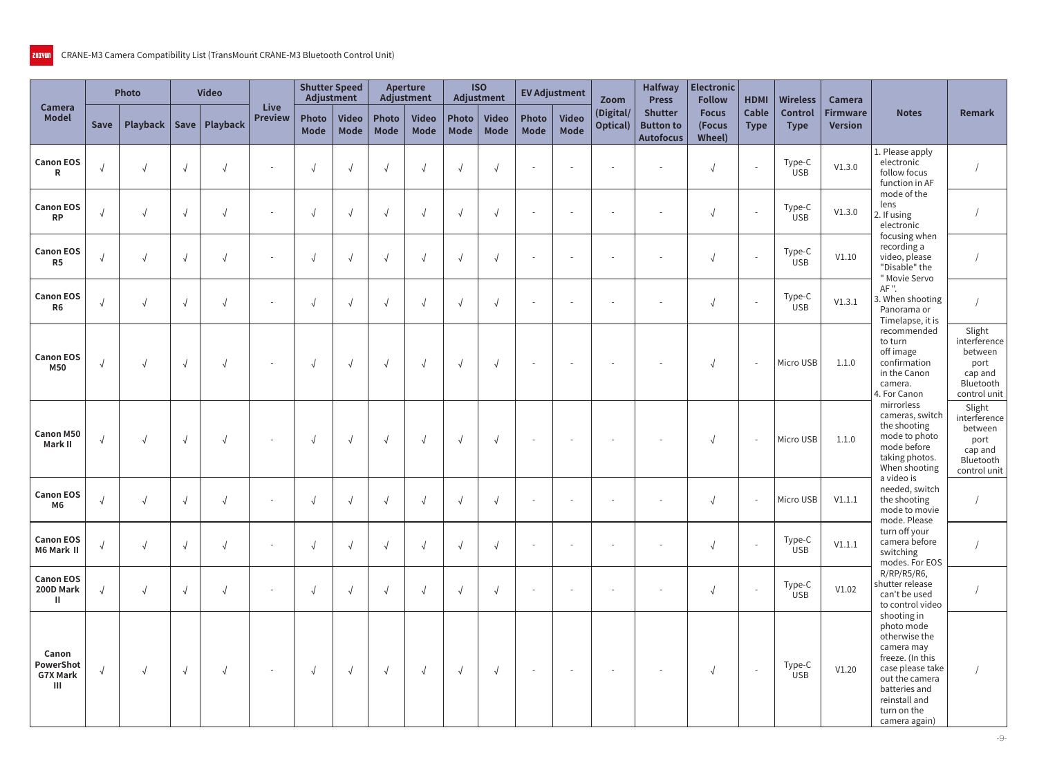|                                               |            | Photo                      |            | <b>Video</b> |                          | Adjustment           | <b>Shutter Speed</b> |                             | <b>Aperture</b><br>Adjustment |                      | <b>ISO</b><br>Adjustment    |                             | <b>EV Adjustment</b>     | Zoom                          | <b>Halfway</b><br><b>Press</b>                         | <b>Electronic</b><br><b>Follow</b>      | <b>HDMI</b>              | <b>Wireless</b>               | Camera                            |                                                                                                                                                                                      |                                                                                   |
|-----------------------------------------------|------------|----------------------------|------------|--------------|--------------------------|----------------------|----------------------|-----------------------------|-------------------------------|----------------------|-----------------------------|-----------------------------|--------------------------|-------------------------------|--------------------------------------------------------|-----------------------------------------|--------------------------|-------------------------------|-----------------------------------|--------------------------------------------------------------------------------------------------------------------------------------------------------------------------------------|-----------------------------------------------------------------------------------|
| <b>Camera</b><br><b>Model</b>                 | Save       | Playback   Save   Playback |            |              | Live<br><b>Preview</b>   | Photo<br><b>Mode</b> | <b>Video</b><br>Mode | <b>Photo</b><br><b>Mode</b> | <b>Video</b><br><b>Mode</b>   | Photo<br><b>Mode</b> | <b>Video</b><br><b>Mode</b> | <b>Photo</b><br><b>Mode</b> | <b>Video</b><br>Mode     | (Digital/<br><b>Optical</b> ) | <b>Shutter</b><br><b>Button to</b><br><b>Autofocus</b> | <b>Focus</b><br>(Focus<br><b>Wheel)</b> | Cable<br><b>Type</b>     | <b>Control</b><br><b>Type</b> | <b>Firmware</b><br><b>Version</b> | <b>Notes</b>                                                                                                                                                                         | Remark                                                                            |
| <b>Canon EOS</b><br>R                         |            | $\sqrt{ }$                 | $\sqrt{ }$ |              | $\overline{\phantom{a}}$ |                      | $\sqrt{2}$           | $\sqrt{ }$                  | $\sqrt{ }$                    |                      |                             | $\overline{\phantom{a}}$    | $\sim$                   |                               | $\overline{\phantom{a}}$                               | $\sqrt{2}$                              | $\sim$                   | Type-C<br><b>USB</b>          | V1.3.0                            | 1. Please apply<br>electronic<br>follow focus<br>function in AF                                                                                                                      |                                                                                   |
| <b>Canon EOS</b><br><b>RP</b>                 |            | $\sqrt{ }$                 | $\sqrt{ }$ |              | $\sim$                   |                      | $\sqrt{ }$           | $\sqrt{ }$                  | $\sqrt{2}$                    |                      |                             |                             | $\overline{\phantom{a}}$ |                               | $\overline{\phantom{a}}$                               | $\sqrt{ }$                              |                          | Type-C<br><b>USB</b>          | V1.3.0                            | mode of the<br>lens<br>2. If using<br>electronic                                                                                                                                     |                                                                                   |
| <b>Canon EOS</b><br>R <sub>5</sub>            | $\sqrt{2}$ | $\sqrt{ }$                 | $\sqrt{ }$ |              | $\overline{\phantom{a}}$ | $\sqrt{ }$           | $\sqrt{2}$           | $\sqrt{ }$                  | $\sqrt{ }$                    | $\sqrt{ }$           | $\sqrt{ }$                  |                             |                          |                               | $\overline{\phantom{a}}$                               | $\sqrt{ }$                              |                          | Type-C<br><b>USB</b>          | V1.10                             | focusing when<br>recording a<br>video, please<br>"Disable" the<br>" Movie Servo                                                                                                      |                                                                                   |
| <b>Canon EOS</b><br>R <sub>6</sub>            | $\sqrt{ }$ | $\sqrt{ }$                 | $\sqrt{ }$ |              | $\overline{\phantom{a}}$ | $\sqrt{ }$           | $\sqrt{ }$           | $\sqrt{ }$                  | $\sqrt{ }$                    | $\sqrt{ }$           | $\sqrt{ }$                  |                             | $\overline{a}$           |                               |                                                        | $\sqrt{ }$                              | $\overline{\phantom{a}}$ | Type-C<br><b>USB</b>          | V1.3.1                            | AF ".<br>3. When shooting<br>Panorama or<br>Timelapse, it is                                                                                                                         |                                                                                   |
| <b>Canon EOS</b><br><b>M50</b>                | $\sqrt{2}$ | $\sqrt{ }$                 | $\sqrt{ }$ |              | $\overline{\phantom{a}}$ |                      | $\sqrt{ }$           | $\sqrt{ }$                  | $\sqrt{ }$                    |                      |                             |                             | $\overline{\phantom{a}}$ |                               |                                                        | $\sqrt{ }$                              |                          | Micro USB                     | 1.1.0                             | recommended<br>to turn<br>off image<br>confirmation<br>in the Canon<br>camera.<br>4. For Canon                                                                                       | Slight<br>interference<br>between<br>port<br>cap and<br>Bluetooth<br>control unit |
| <b>Canon M50</b><br>Mark II                   | $\sqrt{ }$ | $\sqrt{ }$                 | $\sqrt{ }$ |              | $\sim$                   |                      | $\sqrt{ }$           | $\sqrt{ }$                  | $\sqrt{ }$                    |                      |                             | $\sim$                      | $\overline{\phantom{a}}$ | $\overline{a}$                | $\overline{\phantom{a}}$                               | $\sqrt{ }$                              | $\sim$                   | Micro USB                     | 1.1.0                             | mirrorless<br>cameras, switch<br>the shooting<br>mode to photo<br>mode before<br>taking photos.<br>When shooting                                                                     | Slight<br>interference<br>between<br>port<br>cap and<br>Bluetooth<br>control unit |
| <b>Canon EOS</b><br>M <sub>6</sub>            | $\sqrt{ }$ | $\sqrt{ }$                 | $\sqrt{ }$ |              | $\overline{\phantom{a}}$ |                      | $\sqrt{ }$           | $\sqrt{2}$                  | $\sqrt{ }$                    |                      |                             |                             | $\overline{\phantom{a}}$ |                               | $\sim$                                                 | $\sqrt{ }$                              |                          | Micro USB                     | V1.1.1                            | a video is<br>needed, switch<br>the shooting<br>mode to movie<br>mode. Please                                                                                                        |                                                                                   |
| <b>Canon EOS</b><br>M6 Mark II                |            | $\sqrt{ }$                 |            |              | $\overline{\phantom{a}}$ |                      |                      | $\sqrt{}$                   | $\sqrt{2}$                    |                      |                             | $\sim$                      | $\overline{\phantom{a}}$ |                               | $\sim$                                                 | $\sqrt{2}$                              | $\sim$                   | Type-C<br><b>USB</b>          | V1.1.1                            | turn off your<br>camera before<br>switching<br>modes. For EOS                                                                                                                        |                                                                                   |
| <b>Canon EOS</b><br>200D Mark<br>$\mathbf{H}$ |            | $\sqrt{ }$                 | $\sqrt{ }$ |              | $\overline{\phantom{a}}$ | $\sqrt{ }$           | $\sqrt{ }$           | $\sqrt{2}$                  | $\sqrt{ }$                    | $\sqrt{ }$           | $\sqrt{ }$                  |                             | $\overline{\phantom{a}}$ |                               | $\sim$                                                 | $\sqrt{2}$                              |                          | Type-C<br><b>USB</b>          | V1.02                             | R/RP/R5/R6,<br>shutter release<br>can't be used<br>to control video                                                                                                                  |                                                                                   |
| Canon<br>PowerShot<br><b>G7X Mark</b><br>Ш    |            | $\sqrt{ }$                 | $\sqrt{ }$ | $\sqrt{2}$   | $\sim$                   | $\sqrt{ }$           | $\sqrt{ }$           | $\sqrt{2}$                  | $\sqrt{ }$                    | $\sqrt{ }$           | $\sqrt{ }$                  | $\sim$                      | $\sim$                   | $\sim$                        | $\sim$                                                 | $\sqrt{ }$                              | $\sim$                   | Type-C<br><b>USB</b>          | V1.20                             | shooting in<br>photo mode<br>otherwise the<br>camera may<br>freeze. (In this<br>case please take<br>out the camera<br>batteries and<br>reinstall and<br>turn on the<br>camera again) |                                                                                   |